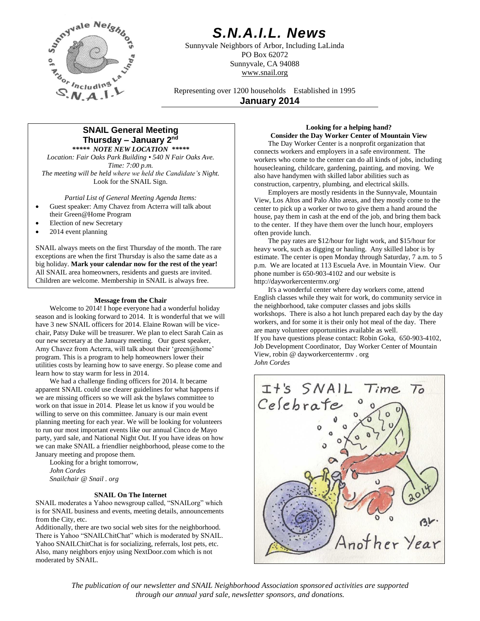

# *S.N.A.I.L. News*

Sunnyvale Neighbors of Arbor, Including LaLinda PO Box 62072 Sunnyvale, CA 94088 www.snail.org

Representing over 1200 households Established in 1995 **January 2014**

# **SNAIL General Meeting Thursday – January 2 nd**

*\*\*\*\*\* NOTE NEW LOCATION \*\*\*\*\* Location: Fair Oaks Park Building • 540 N Fair Oaks Ave. Time: 7:00 p.m. The meeting will be held where we held the Candidate's Night.* Look for the SNAIL Sign.

*Partial List of General Meeting Agenda Items:*

- Guest speaker: Amy Chavez from Acterra will talk about their Green@Home Program
- Election of new Secretary
- 2014 event planning

SNAIL always meets on the first Thursday of the month. The rare exceptions are when the first Thursday is also the same date as a big holiday. **Mark your calendar now for the rest of the year!** All SNAIL area homeowners, residents and guests are invited. Children are welcome. Membership in SNAIL is always free.

## **Message from the Chair**

Welcome to 2014! I hope everyone had a wonderful holiday season and is looking forward to 2014. It is wonderful that we will have 3 new SNAIL officers for 2014. Elaine Rowan will be vicechair, Patsy Duke will be treasurer. We plan to elect Sarah Cain as our new secretary at the January meeting. Our guest speaker, Amy Chavez from Acterra, will talk about their 'green@home' program. This is a program to help homeowners lower their utilities costs by learning how to save energy. So please come and learn how to stay warm for less in 2014.

We had a challenge finding officers for 2014. It became apparent SNAIL could use clearer guidelines for what happens if we are missing officers so we will ask the bylaws committee to work on that issue in 2014. Please let us know if you would be willing to serve on this committee. January is our main event planning meeting for each year. We will be looking for volunteers to run our most important events like our annual Cinco de Mayo party, yard sale, and National Night Out. If you have ideas on how we can make SNAIL a friendlier neighborhood, please come to the January meeting and propose them.

Looking for a bright tomorrow, *John Cordes Snailchair @ Snail . org*

## **SNAIL On The Internet**

SNAIL moderates a Yahoo newsgroup called, "SNAILorg" which is for SNAIL business and events, meeting details, announcements from the City, etc.

Additionally, there are two social web sites for the neighborhood. There is Yahoo "SNAILChitChat" which is moderated by SNAIL. Yahoo SNAILChitChat is for socializing, referrals, lost pets, etc. Also, many neighbors enjoy using NextDoor.com which is not moderated by SNAIL.

# **Looking for a helping hand? Consider the Day Worker Center of Mountain View**

The Day Worker Center is a nonprofit organization that connects workers and employers in a safe environment. The workers who come to the center can do all kinds of jobs, including housecleaning, childcare, gardening, painting, and moving. We also have handymen with skilled labor abilities such as construction, carpentry, plumbing, and electrical skills.

Employers are mostly residents in the Sunnyvale, Mountain View, Los Altos and Palo Alto areas, and they mostly come to the center to pick up a worker or two to give them a hand around the house, pay them in cash at the end of the job, and bring them back to the center. If they have them over the lunch hour, employers often provide lunch.

The pay rates are \$12/hour for light work, and \$15/hour for heavy work, such as digging or hauling. Any skilled labor is by estimate. The center is open Monday through Saturday, 7 a.m. to 5 p.m. We are located at 113 Escuela Ave. in Mountain View. Our phone number is 650-903-4102 and our website is http://dayworkercentermv.org/

It's a wonderful center where day workers come, attend English classes while they wait for work, do community service in the neighborhood, take computer classes and jobs skills workshops. There is also a hot lunch prepared each day by the day workers, and for some it is their only hot meal of the day. There are many volunteer opportunities available as well. If you have questions please contact: Robin Goka, 650-903-4102, Job Development Coordinator, Day Worker Center of Mountain View, robin @ dayworkercentermv . org *John Cordes*



*The publication of our newsletter and SNAIL Neighborhood Association sponsored activities are supported through our annual yard sale, newsletter sponsors, and donations.*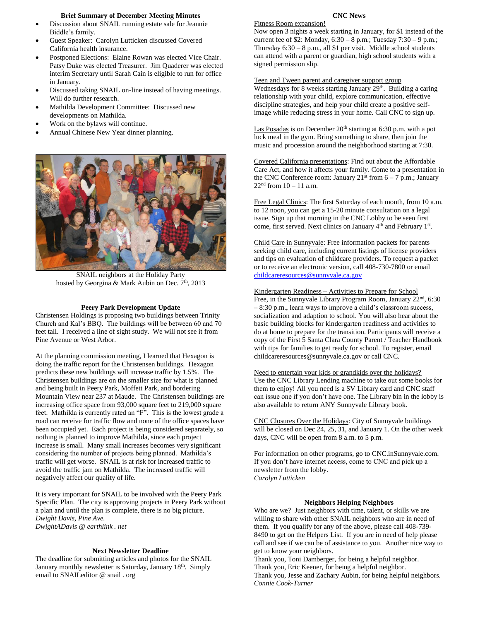## **Brief Summary of December Meeting Minutes**

- Discussion about SNAIL running estate sale for Jeannie Biddle's family.
- Guest Speaker: Carolyn Lutticken discussed Covered California health insurance.
- Postponed Elections: Elaine Rowan was elected Vice Chair. Patsy Duke was elected Treasurer. Jim Quaderer was elected interim Secretary until Sarah Cain is eligible to run for office in January.
- Discussed taking SNAIL on-line instead of having meetings. Will do further research.
- Mathilda Development Committee: Discussed new developments on Mathilda.
- Work on the bylaws will continue.
- Annual Chinese New Year dinner planning.



SNAIL neighbors at the Holiday Party hosted by Georgina & Mark Aubin on Dec. 7<sup>th</sup>, 2013

#### **Peery Park Development Update**

Christensen Holdings is proposing two buildings between Trinity Church and Kal's BBQ. The buildings will be between 60 and 70 feet tall. I received a line of sight study. We will not see it from Pine Avenue or West Arbor.

At the planning commission meeting, I learned that Hexagon is doing the traffic report for the Christensen buildings. Hexagon predicts these new buildings will increase traffic by 1.5%. The Christensen buildings are on the smaller size for what is planned and being built in Peery Park, Moffett Park, and bordering Mountain View near 237 at Maude. The Christensen buildings are increasing office space from 93,000 square feet to 219,000 square feet. Mathilda is currently rated an "F". This is the lowest grade a road can receive for traffic flow and none of the office spaces have been occupied yet. Each project is being considered separately, so nothing is planned to improve Mathilda, since each project increase is small. Many small increases becomes very significant considering the number of projects being planned. Mathilda's traffic will get worse. SNAIL is at risk for increased traffic to avoid the traffic jam on Mathilda. The increased traffic will negatively affect our quality of life.

It is very important for SNAIL to be involved with the Peery Park Specific Plan. The city is approving projects in Peery Park without a plan and until the plan is complete, there is no big picture. *Dwight Davis, Pine Ave. DwightADavis @ earthlink . net*

#### **Next Newsletter Deadline**

The deadline for submitting articles and photos for the SNAIL January monthly newsletter is Saturday, January 18<sup>th</sup>. Simply email to SNAILeditor @ snail . org

# **CNC News**

Fitness Room expansion! Now open 3 nights a week starting in January, for \$1 instead of the current fee of \$2: Monday, 6:30 – 8 p.m.; Tuesday 7:30 – 9 p.m.; Thursday  $6:30 - 8$  p.m., all \$1 per visit. Middle school students can attend with a parent or guardian, high school students with a signed permission slip.

Teen and Tween parent and caregiver support group Wednesdays for 8 weeks starting January 29<sup>th</sup>. Building a caring relationship with your child, explore communication, effective discipline strategies, and help your child create a positive selfimage while reducing stress in your home. Call CNC to sign up.

Las Posadas is on December  $20<sup>th</sup>$  starting at 6:30 p.m. with a pot luck meal in the gym. Bring something to share, then join the music and procession around the neighborhood starting at 7:30.

Covered California presentations: Find out about the Affordable Care Act, and how it affects your family. Come to a presentation in the CNC Conference room: January  $21^{st}$  from  $6 - 7$  p.m.; January  $22<sup>nd</sup>$  from  $10 - 11$  a.m.

Free Legal Clinics: The first Saturday of each month, from 10 a.m. to 12 noon, you can get a 15-20 minute consultation on a legal issue. Sign up that morning in the CNC Lobby to be seen first come, first served. Next clinics on January 4<sup>th</sup> and February 1<sup>st</sup>.

Child Care in Sunnyvale: Free information packets for parents seeking child care, including current listings of license providers and tips on evaluation of childcare providers. To request a packet or to receive an electronic version, call 408-730-7800 or email [childcareresources@sunnyvale.ca.gov](mailto:childcareresources@sunnyvale.ca.gov)

#### Kindergarten Readiness – Activities to Prepare for School

Free, in the Sunnyvale Library Program Room, January 22nd, 6:30 – 8:30 p.m., learn ways to improve a child's classroom success, socialization and adaption to school. You will also hear about the basic building blocks for kindergarten readiness and activities to do at home to prepare for the transition. Participants will receive a copy of the First 5 Santa Clara County Parent / Teacher Handbook with tips for families to get ready for school. To register, email childcareresources@sunnyvale.ca.gov or call CNC.

Need to entertain your kids or grandkids over the holidays? Use the CNC Library Lending machine to take out some books for them to enjoy! All you need is a SV Library card and CNC staff can issue one if you don't have one. The Library bin in the lobby is also available to return ANY Sunnyvale Library book.

CNC Closures Over the Holidays: City of Sunnyvale buildings will be closed on Dec 24, 25, 31, and January 1. On the other week days, CNC will be open from 8 a.m. to 5 p.m.

For information on other programs, go to CNC.inSunnyvale.com. If you don't have internet access, come to CNC and pick up a newsletter from the lobby. *Carolyn Lutticken*

### **Neighbors Helping Neighbors**

Who are we? Just neighbors with time, talent, or skills we are willing to share with other SNAIL neighbors who are in need of them. If you qualify for any of the above, please call 408-739- 8490 to get on the Helpers List. If you are in need of help please call and see if we can be of assistance to you. Another nice way to get to know your neighbors.

Thank you, Toni Damberger, for being a helpful neighbor.

Thank you, Eric Keener, for being a helpful neighbor.

Thank you, Jesse and Zachary Aubin, for being helpful neighbors. *Connie Cook-Turner*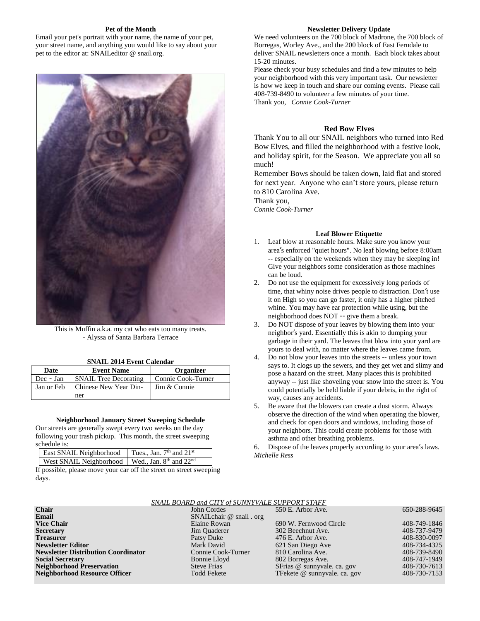## **Pet of the Month**

Email your pet's portrait with your name, the name of your pet, your street name, and anything you would like to say about your pet to the editor at: SNAILeditor @ snail.org.



This is Muffin a.k.a. my cat who eats too many treats. - Alyssa of Santa Barbara Terrace

|  |  |  | <b>SNAIL 2014 Event Calendar</b> |
|--|--|--|----------------------------------|
|--|--|--|----------------------------------|

| Date           | <b>Event Name</b>            | <b>Organizer</b>   |  |
|----------------|------------------------------|--------------------|--|
| Dec $\sim$ Jan | <b>SNAIL Tree Decorating</b> | Connie Cook-Turner |  |
| Jan or Feb     | Chinese New Year Din-        | Jim & Connie       |  |
|                | ner                          |                    |  |

#### **Neighborhood January Street Sweeping Schedule**

Our streets are generally swept every two weeks on the day following your trash pickup. This month, the street sweeping schedule is:

| East SNAIL Neighborhood Tues., Jan. 7th and 21st  |  |
|---------------------------------------------------|--|
| West SNAIL Neighborhood   Wed., Jan. 8th and 22nd |  |

If possible, please move your car off the street on street sweeping days.

### **Newsletter Delivery Update**

We need volunteers on the 700 block of Madrone, the 700 block of Borregas, Worley Ave., and the 200 block of East Ferndale to deliver SNAIL newsletters once a month. Each block takes about 15-20 minutes.

Please check your busy schedules and find a few minutes to help your neighborhood with this very important task. Our newsletter is how we keep in touch and share our coming events. Please call 408-739-8490 to volunteer a few minutes of your time. Thank you, *Connie Cook-Turner*

# **Red Bow Elves**

Thank You to all our SNAIL neighbors who turned into Red Bow Elves, and filled the neighborhood with a festive look, and holiday spirit, for the Season. We appreciate you all so much!

Remember Bows should be taken down, laid flat and stored for next year. Anyone who can't store yours, please return to 810 Carolina Ave.

Thank you, *Connie Cook-Turner*

#### **Leaf Blower Etiquette**

- 1. Leaf blow at reasonable hours. Make sure you know your area's enforced "quiet hours". No leaf blowing before 8:00am -- especially on the weekends when they may be sleeping in! Give your neighbors some consideration as those machines can be loud.
- 2. Do not use the equipment for excessively long periods of time, that whiny noise drives people to distraction. Don't use it on High so you can go faster, it only has a higher pitched whine. You may have ear protection while using, but the neighborhood does NOT -- give them a break.
- 3. Do NOT dispose of your leaves by blowing them into your neighbor's yard. Essentially this is akin to dumping your garbage in their yard. The leaves that blow into your yard are yours to deal with, no matter where the leaves came from.
- 4. Do not blow your leaves into the streets -- unless your town says to. It clogs up the sewers, and they get wet and slimy and pose a hazard on the street. Many places this is prohibited anyway -- just like shoveling your snow into the street is. You could potentially be held liable if your debris, in the right of way, causes any accidents.
- 5. Be aware that the blowers can create a dust storm. Always observe the direction of the wind when operating the blower, and check for open doors and windows, including those of your neighbors. This could create problems for those with asthma and other breathing problems.

Dispose of the leaves properly according to your area's laws. *Michelle Ress*

| SNAIL BOARD and CITY of SUNNYVALE SUPPORT STAFF |                             |                              |              |  |  |  |
|-------------------------------------------------|-----------------------------|------------------------------|--------------|--|--|--|
| <b>Chair</b>                                    | John Cordes                 | 550 E. Arbor Ave.            | 650-288-9645 |  |  |  |
| Email                                           | SNAIL chair $@$ snail . org |                              |              |  |  |  |
| <b>Vice Chair</b>                               | Elaine Rowan                | 690 W. Fernwood Circle       | 408-749-1846 |  |  |  |
| Secretary                                       | Jim Quaderer                | 302 Beechnut Ave.            | 408-737-9479 |  |  |  |
| Treasurer                                       | Patsy Duke                  | 476 E. Arbor Ave.            | 408-830-0097 |  |  |  |
| <b>Newsletter Editor</b>                        | Mark David                  | 621 San Diego Ave            | 408-734-4325 |  |  |  |
| <b>Newsletter Distribution Coordinator</b>      | Connie Cook-Turner          | 810 Carolina Ave.            | 408-739-8490 |  |  |  |
| <b>Social Secretary</b>                         | Bonnie Lloyd                | 802 Borregas Ave.            | 408-747-1949 |  |  |  |
| <b>Neighborhood Preservation</b>                | <b>Steve Frias</b>          | SFrias @ sunnyvale. ca. gov  | 408-730-7613 |  |  |  |
| Neighborhood Resource Officer                   | <b>Todd Fekete</b>          | TFekete @ sunnyvale. ca. gov | 408-730-7153 |  |  |  |
|                                                 |                             |                              |              |  |  |  |

#### *SNAIL BOARD and CITY of SUNNYVALE SUPPORT STAFF*